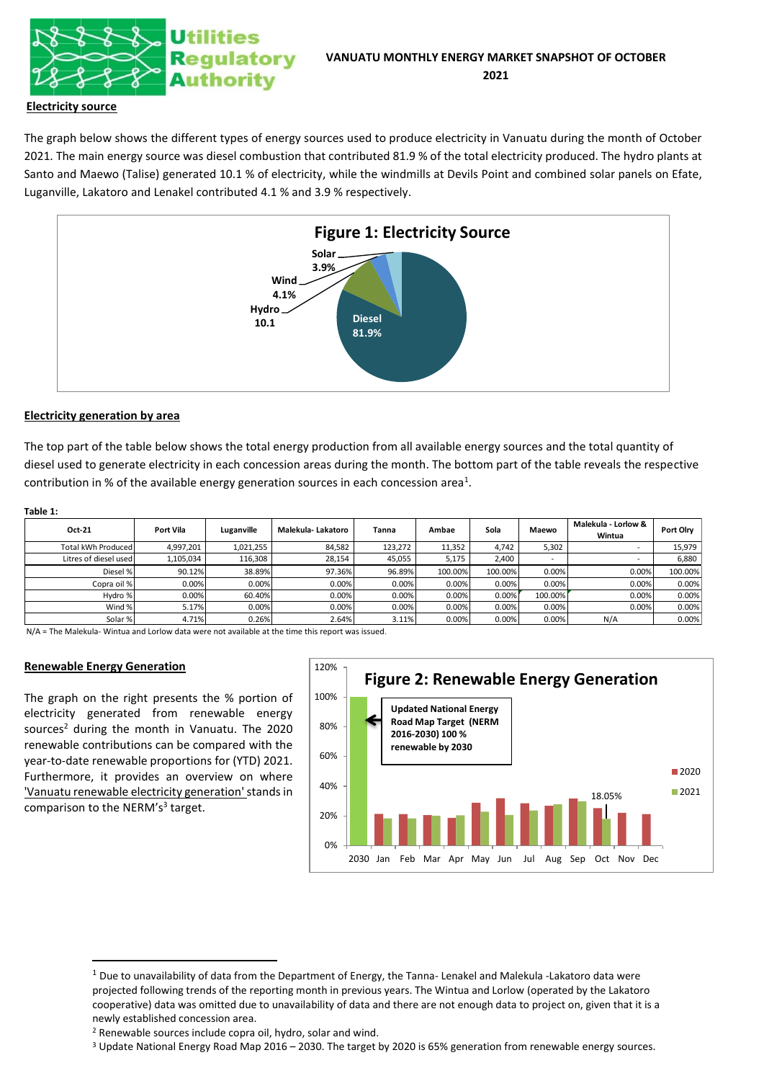

## **Electricity source**

The graph below shows the different types of energy sources used to produce electricity in Vanuatu during the month of October 2021. The main energy source was diesel combustion that contributed 81.9 % of the total electricity produced. The hydro plants at Santo and Maewo (Talise) generated 10.1 % of electricity, while the windmills at Devils Point and combined solar panels on Efate, Luganville, Lakatoro and Lenakel contributed 4.1 % and 3.9 % respectively.



# **Electricity generation by area**

The top part of the table below shows the total energy production from all available energy sources and the total quantity of diesel used to generate electricity in each concession areas during the month. The bottom part of the table reveals the respective contribution in % of the available energy generation sources in each concession area<sup>1</sup>.

#### **Table 1:**

| Oct-21                | Port Vila | Luganville | Malekula- Lakatoro | Tanna   | Ambae   | Sola    | Maewo   | Malekula - Lorlow &<br>Wintua | Port Olry |
|-----------------------|-----------|------------|--------------------|---------|---------|---------|---------|-------------------------------|-----------|
| Total kWh Produced    | 4.997.201 | 1,021,255  | 84.582             | 123.272 | 11.352  | 4.742   | 5,302   |                               | 15.979    |
| Litres of diesel used | 1,105,034 | 116,308    | 28,154             | 45,055  | 5,175   | 2,400   | $\sim$  |                               | 6,880     |
| Diesel %              | 90.12%    | 38.89%     | 97.36%             | 96.89%  | 100.00% | 100.00% | 0.00%   | 0.00%                         | 100.00%   |
| Copra oil %           | 0.00%     | 0.00%      | 0.00%              | 0.00%   | 0.00%   | 0.00%   | 0.00%   | 0.00%                         | 0.00%     |
| Hydro %               | 0.00%     | 60.40%     | 0.00%              | 0.00%   | 0.00%   | 0.00%   | 100.00% | 0.00%                         | 0.00%     |
| Wind %                | 5.17%     | 0.00%      | 0.00%              | 0.00%   | 0.00%   | 0.00%   | 0.00%   | 0.00%                         | 0.00%     |
| Solar %               | 4.71%     | 0.26%      | 2.64%              | 3.11%   | 0.00%   | 0.00%   | 0.00%   | N/A                           | 0.00%     |

N/A = The Malekula- Wintua and Lorlow data were not available at the time this report was issued.

#### **Renewable Energy Generation**

The graph on the right presents the % portion of electricity generated from renewable energy sources<sup>2</sup> during the month in Vanuatu. The 2020 renewable contributions can be compared with the year-to-date renewable proportions for (YTD) 2021. Furthermore, it provides an overview on where 'Vanuatu renewable electricity generation'stands in comparison to the NERM's<sup>3</sup> target.



<sup>3</sup> Update National Energy Road Map 2016 – 2030. The target by 2020 is 65% generation from renewable energy sources.

 $1$  Due to unavailability of data from the Department of Energy, the Tanna- Lenakel and Malekula -Lakatoro data were projected following trends of the reporting month in previous years. The Wintua and Lorlow (operated by the Lakatoro cooperative) data was omitted due to unavailability of data and there are not enough data to project on, given that it is a newly established concession area.

<sup>2</sup> Renewable sources include copra oil, hydro, solar and wind.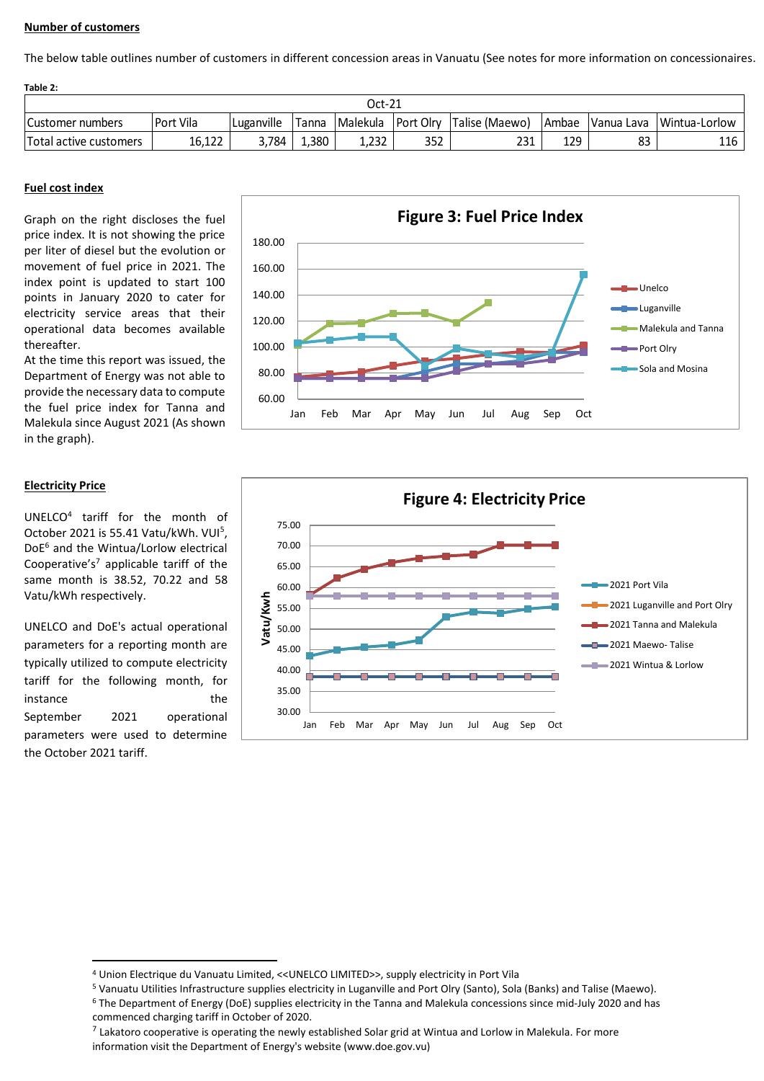## **Number of customers**

The below table outlines number of customers in different concession areas in Vanuatu (See notes for more information on concessionaires.

| Table 2:               |             |            |                 |       |     |                                   |         |    |                            |  |  |
|------------------------|-------------|------------|-----------------|-------|-----|-----------------------------------|---------|----|----------------------------|--|--|
| Oct-21                 |             |            |                 |       |     |                                   |         |    |                            |  |  |
| Customer numbers       | l Port Vila | Luganville | Tanna           |       |     | Malekula Port Olry Talise (Maewo) | l Ambae |    | Vanua Lava   Wintua-Lorlow |  |  |
| Total active customers | 16,122      | 3.784      | $\frac{1}{380}$ | 1,232 | 352 | 231                               | 129     | 83 | 116                        |  |  |

## **Fuel cost index**

Graph on the right discloses the fuel price index. It is not showing the price per liter of diesel but the evolution or movement of fuel price in 2021. The index point is updated to start 100 points in January 2020 to cater for electricity service areas that their operational data becomes available thereafter.

At the time this report was issued, the Department of Energy was not able to provide the necessary data to compute the fuel price index for Tanna and Malekula since August 2021 (As shown in the graph).

#### **Electricity Price**

UNELCO<sup>4</sup> tariff for the month of October 2021 is 55.41 Vatu/kWh. VUI<sup>5</sup>, DoE<sup>6</sup> and the Wintua/Lorlow electrical Cooperative's<sup>7</sup> applicable tariff of the same month is 38.52, 70.22 and 58 Vatu/kWh respectively.

UNELCO and DoE's actual operational parameters for a reporting month are typically utilized to compute electricity tariff for the following month, for instance the the September 2021 operational parameters were used to determine the October 2021 tariff.





<sup>4</sup> Union Electrique du Vanuatu Limited, <<UNELCO LIMITED>>, supply electricity in Port Vila

<sup>5</sup> Vanuatu Utilities Infrastructure supplies electricity in Luganville and Port Olry (Santo), Sola (Banks) and Talise (Maewo).

<sup>6</sup> The Department of Energy (DoE) supplies electricity in the Tanna and Malekula concessions since mid-July 2020 and has commenced charging tariff in October of 2020.

 $^7$  Lakatoro cooperative is operating the newly established Solar grid at Wintua and Lorlow in Malekula. For more